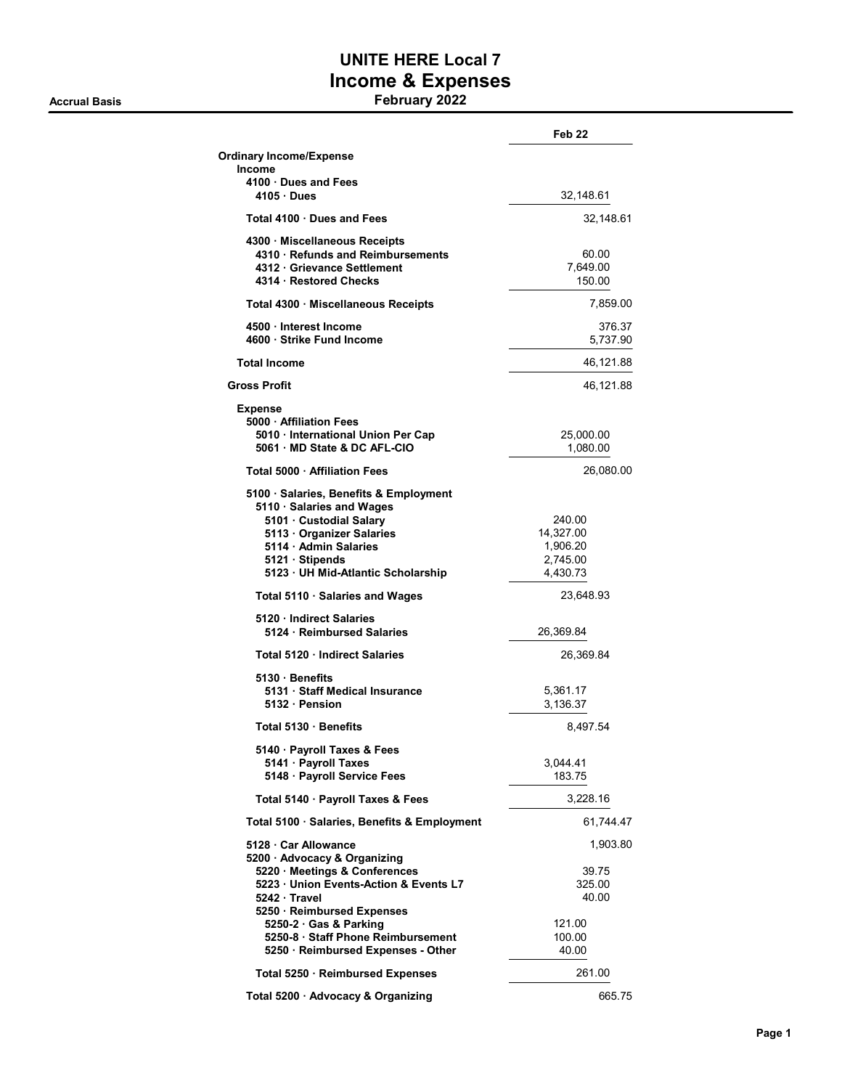# **UNITE HERE Local 7 Income & Expenses Accrual Basis February 2022**

|                                                                                                                                                                                                             | Feb <sub>22</sub>                                       |
|-------------------------------------------------------------------------------------------------------------------------------------------------------------------------------------------------------------|---------------------------------------------------------|
| <b>Ordinary Income/Expense</b>                                                                                                                                                                              |                                                         |
| <b>Income</b><br>4100 Dues and Fees<br>4105 Dues                                                                                                                                                            | 32,148.61                                               |
| Total 4100 Dues and Fees                                                                                                                                                                                    | 32,148.61                                               |
| 4300 · Miscellaneous Receipts<br>4310 · Refunds and Reimbursements<br>4312 Grievance Settlement<br>4314 · Restored Checks                                                                                   | 60.00<br>7,649.00<br>150.00                             |
| Total 4300 · Miscellaneous Receipts                                                                                                                                                                         | 7,859.00                                                |
| 4500 · Interest Income<br>4600 · Strike Fund Income                                                                                                                                                         | 376.37<br>5,737.90                                      |
| <b>Total Income</b>                                                                                                                                                                                         | 46,121.88                                               |
| <b>Gross Profit</b>                                                                                                                                                                                         | 46,121.88                                               |
| <b>Expense</b><br>5000 · Affiliation Fees<br>5010 · International Union Per Cap<br>5061 MD State & DC AFL-CIO                                                                                               | 25,000.00<br>1,080.00                                   |
| Total 5000 · Affiliation Fees                                                                                                                                                                               | 26,080.00                                               |
| 5100 · Salaries, Benefits & Employment<br>5110 · Salaries and Wages<br>5101 · Custodial Salary<br>5113 Organizer Salaries<br>5114 · Admin Salaries<br>5121 · Stipends<br>5123 · UH Mid-Atlantic Scholarship | 240.00<br>14,327.00<br>1,906.20<br>2,745.00<br>4,430.73 |
| Total 5110 · Salaries and Wages                                                                                                                                                                             | 23,648.93                                               |
| 5120 Indirect Salaries<br>5124 · Reimbursed Salaries                                                                                                                                                        | 26,369.84                                               |
| Total 5120 · Indirect Salaries                                                                                                                                                                              | 26,369.84                                               |
| 5130 Benefits<br>5131 · Staff Medical Insurance<br>5132 Pension                                                                                                                                             | 5,361.17<br>3,136.37                                    |
| Total 5130 · Benefits                                                                                                                                                                                       | 8,497.54                                                |
| 5140 · Payroll Taxes & Fees<br>5141 · Payroll Taxes<br>5148 · Payroll Service Fees                                                                                                                          | 3,044.41<br>183.75                                      |
| Total 5140 · Payroll Taxes & Fees                                                                                                                                                                           | 3,228.16                                                |
| Total 5100 · Salaries, Benefits & Employment                                                                                                                                                                | 61,744.47                                               |
| 5128 Car Allowance<br>5200 · Advocacy & Organizing<br>5220 · Meetings & Conferences<br>5223 Union Events-Action & Events L7<br>5242 Travel<br>5250 · Reimbursed Expenses                                    | 1,903.80<br>39.75<br>325.00<br>40.00                    |
| 5250-2 · Gas & Parking<br>5250-8 · Staff Phone Reimbursement                                                                                                                                                | 121.00<br>100.00                                        |
| 5250 · Reimbursed Expenses - Other                                                                                                                                                                          | 40.00                                                   |
| Total 5250 · Reimbursed Expenses                                                                                                                                                                            | 261.00                                                  |
| Total 5200 · Advocacy & Organizing                                                                                                                                                                          | 665.75                                                  |